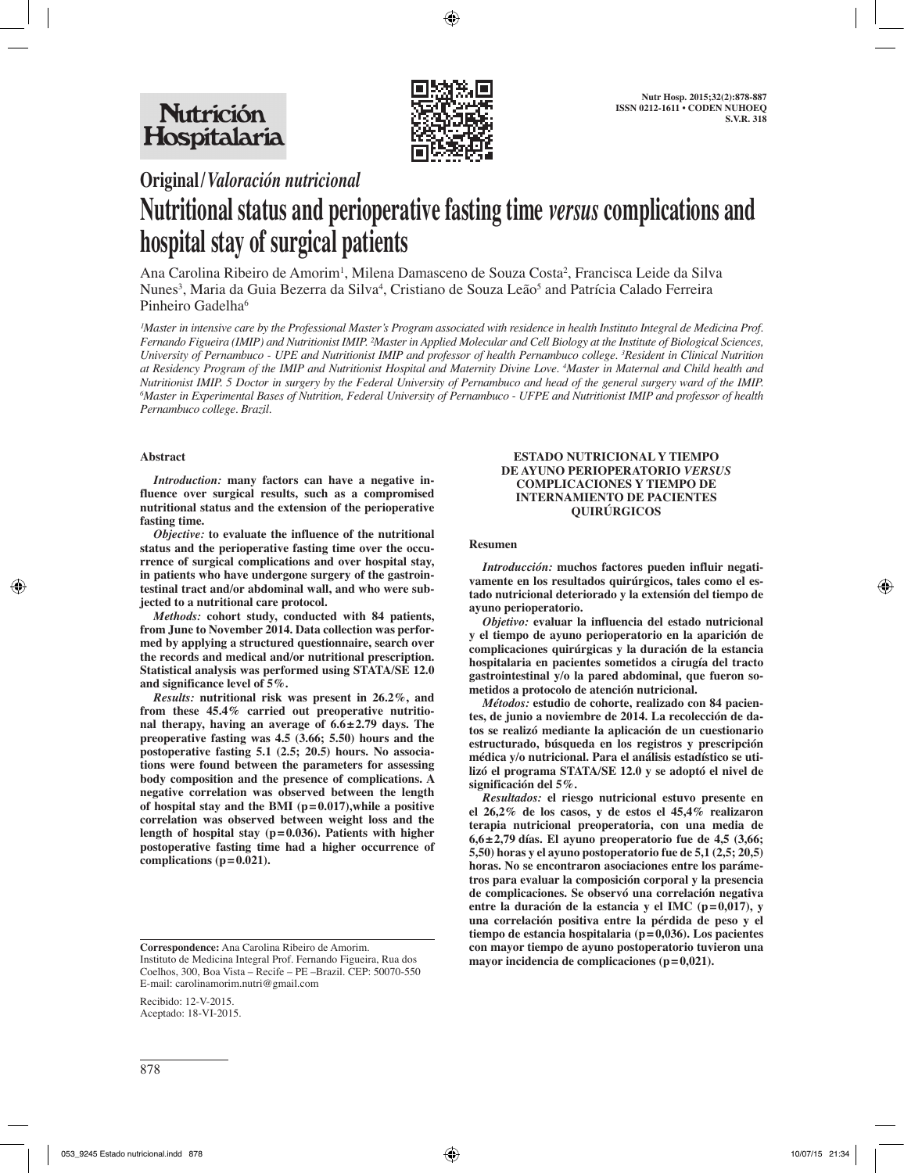

# **Original/***Valoración nutricional*

# **Nutritional status and perioperative fasting time** *versus* **complications and hospital stay of surgical patients**

Ana Carolina Ribeiro de Amorim<sup>1</sup>, Milena Damasceno de Souza Costa<sup>2</sup>, Francisca Leide da Silva Nunes<sup>3</sup>, Maria da Guia Bezerra da Silva<sup>4</sup>, Cristiano de Souza Leão<sup>5</sup> and Patrícia Calado Ferreira Pinheiro Gadelha<sup>6</sup>

<sup>*IMaster in intensive care by the Professional Master's Program associated with residence in health Instituto Integral de Medicina Prof.*</sup> *Fernando Figueira (IMIP) and Nutritionist IMIP. ²Master in Applied Molecular and Cell Biology at the Institute of Biological Sciences, University of Pernambuco - UPE and Nutritionist IMIP and professor of health Pernambuco college. 3 Resident in Clinical Nutrition at Residency Program of the IMIP and Nutritionist Hospital and Maternity Divine Love. 4 Master in Maternal and Child health and Nutritionist IMIP. 5 Doctor in surgery by the Federal University of Pernambuco and head of the general surgery ward of the IMIP. 6 Master in Experimental Bases of Nutrition, Federal University of Pernambuco - UFPE and Nutritionist IMIP and professor of health Pernambuco college. Brazil.*

# **Abstract**

*Introduction:* **many factors can have a negative influence over surgical results, such as a compromised nutritional status and the extension of the perioperative fasting time.** 

*Objective:* **to evaluate the influence of the nutritional status and the perioperative fasting time over the occurrence of surgical complications and over hospital stay, in patients who have undergone surgery of the gastrointestinal tract and/or abdominal wall, and who were subjected to a nutritional care protocol.** 

*Methods:* **cohort study, conducted with 84 patients, from June to November 2014. Data collection was performed by applying a structured questionnaire, search over the records and medical and/or nutritional prescription. Statistical analysis was performed using STATA/SE 12.0 and significance level of 5%.** 

*Results:* **nutritional risk was present in 26.2%, and from these 45.4% carried out preoperative nutritional therapy, having an average of 6.6±2.79 days. The preoperative fasting was 4.5 (3.66; 5.50) hours and the postoperative fasting 5.1 (2.5; 20.5) hours. No associations were found between the parameters for assessing body composition and the presence of complications. A negative correlation was observed between the length of hospital stay and the BMI (p=0.017),while a positive correlation was observed between weight loss and the length of hospital stay (p=0.036). Patients with higher postoperative fasting time had a higher occurrence of**  complications  $(p=0.021)$ .

**Correspondence:** Ana Carolina Ribeiro de Amorim. Instituto de Medicina Integral Prof. Fernando Figueira, Rua dos Coelhos, 300, Boa Vista – Recife – PE –Brazil. CEP: 50070-550 E-mail: carolinamorim.nutri@gmail.com

Recibido: 12-V-2015. Aceptado: 18-VI-2015.

#### **ESTADO NUTRICIONAL Y TIEMPO DE AYUNO PERIOPERATORIO** *VERSUS* **COMPLICACIONES Y TIEMPO DE INTERNAMIENTO DE PACIENTES QUIRÚRGICOS**

#### **Resumen**

*Introducción:* **muchos factores pueden influir negativamente en los resultados quirúrgicos, tales como el estado nutricional deteriorado y la extensión del tiempo de ayuno perioperatorio.** 

*Objetivo:* **evaluar la influencia del estado nutricional y el tiempo de ayuno perioperatorio en la aparición de complicaciones quirúrgicas y la duración de la estancia hospitalaria en pacientes sometidos a cirugía del tracto gastrointestinal y/o la pared abdominal, que fueron sometidos a protocolo de atención nutricional.** 

*Métodos:* **estudio de cohorte, realizado con 84 pacientes, de junio a noviembre de 2014. La recolección de datos se realizó mediante la aplicación de un cuestionario estructurado, búsqueda en los registros y prescripción médica y/o nutricional. Para el análisis estadístico se utilizó el programa STATA/SE 12.0 y se adoptó el nivel de significación del 5%.** 

*Resultados:* **el riesgo nutricional estuvo presente en el 26,2% de los casos, y de estos el 45,4% realizaron terapia nutricional preoperatoria, con una media de 6,6±2,79 días. El ayuno preoperatorio fue de 4,5 (3,66; 5,50) horas y el ayuno postoperatorio fue de 5,1 (2,5; 20,5) horas. No se encontraron asociaciones entre los parámetros para evaluar la composición corporal y la presencia de complicaciones. Se observó una correlación negativa entre la duración de la estancia y el IMC (p=0,017), y una correlación positiva entre la pérdida de peso y el tiempo de estancia hospitalaria (p=0,036). Los pacientes con mayor tiempo de ayuno postoperatorio tuvieron una mayor incidencia de complicaciones (p=0,021).**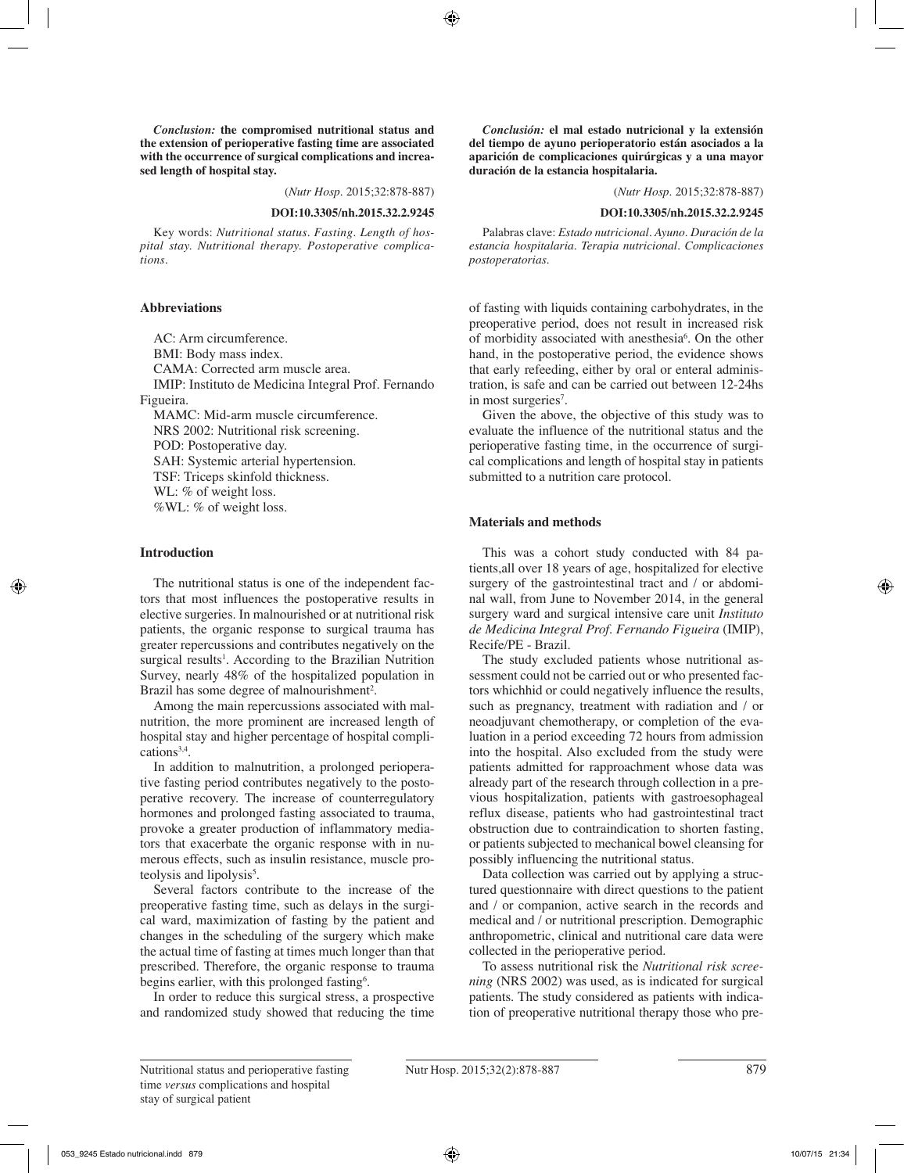*Conclusion:* **the compromised nutritional status and the extension of perioperative fasting time are associated with the occurrence of surgical complications and increased length of hospital stay.**

(*Nutr Hosp.* 2015;32:878-887)

#### **DOI:10.3305/nh.2015.32.2.9245**

Key words: *Nutritional status. Fasting. Length of hospital stay. Nutritional therapy. Postoperative complications.*

#### **Abbreviations**

AC: Arm circumference. BMI: Body mass index. CAMA: Corrected arm muscle area. IMIP: Instituto de Medicina Integral Prof. Fernando Figueira. MAMC: Mid-arm muscle circumference. NRS 2002: Nutritional risk screening. POD: Postoperative day.

SAH: Systemic arterial hypertension. TSF: Triceps skinfold thickness. WL: % of weight loss. %WL: % of weight loss.

# **Introduction**

The nutritional status is one of the independent factors that most influences the postoperative results in elective surgeries. In malnourished or at nutritional risk patients, the organic response to surgical trauma has greater repercussions and contributes negatively on the surgical results<sup>1</sup>. According to the Brazilian Nutrition Survey, nearly 48% of the hospitalized population in Brazil has some degree of malnourishment<sup>2</sup>.

Among the main repercussions associated with malnutrition, the more prominent are increased length of hospital stay and higher percentage of hospital complications<sup>3,4</sup>.

In addition to malnutrition, a prolonged perioperative fasting period contributes negatively to the postoperative recovery. The increase of counterregulatory hormones and prolonged fasting associated to trauma, provoke a greater production of inflammatory mediators that exacerbate the organic response with in numerous effects, such as insulin resistance, muscle proteolysis and lipolysis<sup>5</sup>.

Several factors contribute to the increase of the preoperative fasting time, such as delays in the surgical ward, maximization of fasting by the patient and changes in the scheduling of the surgery which make the actual time of fasting at times much longer than that prescribed. Therefore, the organic response to trauma begins earlier, with this prolonged fasting<sup>6</sup>.

In order to reduce this surgical stress, a prospective and randomized study showed that reducing the time

*Conclusión:* **el mal estado nutricional y la extensión del tiempo de ayuno perioperatorio están asociados a la aparición de complicaciones quirúrgicas y a una mayor duración de la estancia hospitalaria.**

(*Nutr Hosp.* 2015;32:878-887)

#### **DOI:10.3305/nh.2015.32.2.9245**

Palabras clave: *Estado nutricional. Ayuno. Duración de la estancia hospitalaria. Terapia nutricional. Complicaciones postoperatorias.*

of fasting with liquids containing carbohydrates, in the preoperative period, does not result in increased risk of morbidity associated with anesthesia<sup>6</sup>. On the other hand, in the postoperative period, the evidence shows that early refeeding, either by oral or enteral administration, is safe and can be carried out between 12-24hs in most surgeries<sup>7</sup>.

Given the above, the objective of this study was to evaluate the influence of the nutritional status and the perioperative fasting time, in the occurrence of surgical complications and length of hospital stay in patients submitted to a nutrition care protocol.

# **Materials and methods**

This was a cohort study conducted with 84 patients,all over 18 years of age, hospitalized for elective surgery of the gastrointestinal tract and / or abdominal wall, from June to November 2014, in the general surgery ward and surgical intensive care unit *Instituto de Medicina Integral Prof. Fernando Figueira* (IMIP), Recife/PE - Brazil.

The study excluded patients whose nutritional assessment could not be carried out or who presented factors whichhid or could negatively influence the results, such as pregnancy, treatment with radiation and / or neoadjuvant chemotherapy, or completion of the evaluation in a period exceeding 72 hours from admission into the hospital. Also excluded from the study were patients admitted for rapproachment whose data was already part of the research through collection in a previous hospitalization, patients with gastroesophageal reflux disease, patients who had gastrointestinal tract obstruction due to contraindication to shorten fasting, or patients subjected to mechanical bowel cleansing for possibly influencing the nutritional status.

Data collection was carried out by applying a structured questionnaire with direct questions to the patient and / or companion, active search in the records and medical and / or nutritional prescription. Demographic anthropometric, clinical and nutritional care data were collected in the perioperative period.

To assess nutritional risk the *Nutritional risk screening* (NRS 2002) was used, as is indicated for surgical patients. The study considered as patients with indication of preoperative nutritional therapy those who pre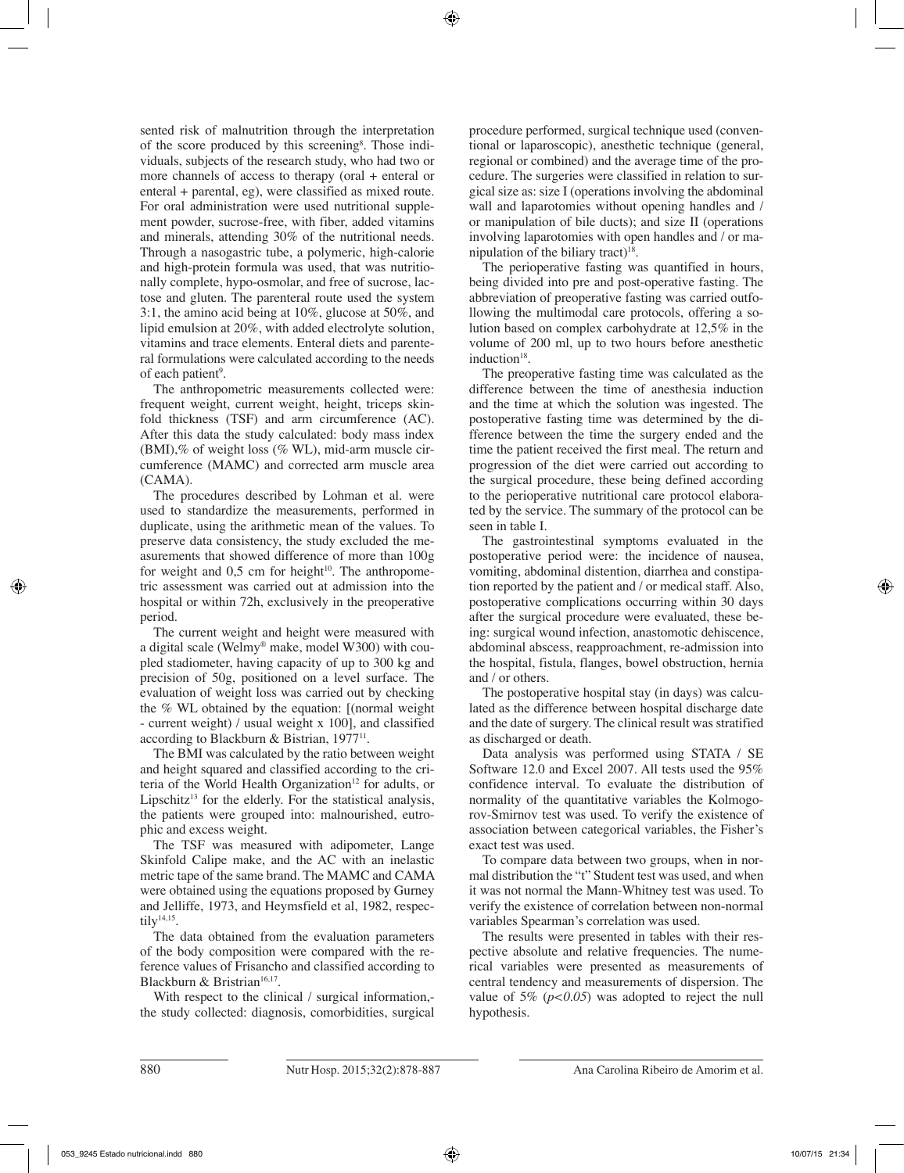sented risk of malnutrition through the interpretation of the score produced by this screening<sup>8</sup>. Those individuals, subjects of the research study, who had two or more channels of access to therapy (oral + enteral or enteral + parental, eg), were classified as mixed route. For oral administration were used nutritional supplement powder, sucrose-free, with fiber, added vitamins and minerals, attending 30% of the nutritional needs. Through a nasogastric tube, a polymeric, high-calorie and high-protein formula was used, that was nutritionally complete, hypo-osmolar, and free of sucrose, lactose and gluten. The parenteral route used the system 3:1, the amino acid being at 10%, glucose at 50%, and lipid emulsion at 20%, with added electrolyte solution, vitamins and trace elements. Enteral diets and parenteral formulations were calculated according to the needs of each patient<sup>9</sup>.

The anthropometric measurements collected were: frequent weight, current weight, height, triceps skinfold thickness (TSF) and arm circumference (AC). After this data the study calculated: body mass index (BMI),% of weight loss (% WL), mid-arm muscle circumference (MAMC) and corrected arm muscle area (CAMA).

The procedures described by Lohman et al. were used to standardize the measurements, performed in duplicate, using the arithmetic mean of the values. To preserve data consistency, the study excluded the measurements that showed difference of more than 100g for weight and  $0.5$  cm for height<sup>10</sup>. The anthropometric assessment was carried out at admission into the hospital or within 72h, exclusively in the preoperative period.

The current weight and height were measured with a digital scale (Welmy® make, model W300) with coupled stadiometer, having capacity of up to 300 kg and precision of 50g, positioned on a level surface. The evaluation of weight loss was carried out by checking the % WL obtained by the equation: [(normal weight - current weight) / usual weight x 100], and classified according to Blackburn & Bistrian, 197711.

The BMI was calculated by the ratio between weight and height squared and classified according to the criteria of the World Health Organization<sup>12</sup> for adults, or Lipschitz<sup>13</sup> for the elderly. For the statistical analysis, the patients were grouped into: malnourished, eutrophic and excess weight.

The TSF was measured with adipometer, Lange Skinfold Calipe make, and the AC with an inelastic metric tape of the same brand. The MAMC and CAMA were obtained using the equations proposed by Gurney and Jelliffe, 1973, and Heymsfield et al, 1982, respectily<sup>14,15</sup>.

The data obtained from the evaluation parameters of the body composition were compared with the reference values of Frisancho and classified according to Blackburn & Bristrian<sup>16,17</sup>.

With respect to the clinical / surgical information,the study collected: diagnosis, comorbidities, surgical procedure performed, surgical technique used (conventional or laparoscopic), anesthetic technique (general, regional or combined) and the average time of the procedure. The surgeries were classified in relation to surgical size as: size I (operations involving the abdominal wall and laparotomies without opening handles and / or manipulation of bile ducts); and size II (operations involving laparotomies with open handles and / or manipulation of the biliary tract)<sup>18</sup>.

The perioperative fasting was quantified in hours, being divided into pre and post-operative fasting. The abbreviation of preoperative fasting was carried outfollowing the multimodal care protocols, offering a solution based on complex carbohydrate at 12,5% in the volume of 200 ml, up to two hours before anesthetic induction<sup>18</sup>.

The preoperative fasting time was calculated as the difference between the time of anesthesia induction and the time at which the solution was ingested. The postoperative fasting time was determined by the difference between the time the surgery ended and the time the patient received the first meal. The return and progression of the diet were carried out according to the surgical procedure, these being defined according to the perioperative nutritional care protocol elaborated by the service. The summary of the protocol can be seen in table I.

The gastrointestinal symptoms evaluated in the postoperative period were: the incidence of nausea, vomiting, abdominal distention, diarrhea and constipation reported by the patient and / or medical staff. Also, postoperative complications occurring within 30 days after the surgical procedure were evaluated, these being: surgical wound infection, anastomotic dehiscence, abdominal abscess, reapproachment, re-admission into the hospital, fistula, flanges, bowel obstruction, hernia and / or others.

The postoperative hospital stay (in days) was calculated as the difference between hospital discharge date and the date of surgery. The clinical result was stratified as discharged or death.

Data analysis was performed using STATA / SE Software 12.0 and Excel 2007. All tests used the 95% confidence interval. To evaluate the distribution of normality of the quantitative variables the Kolmogorov-Smirnov test was used. To verify the existence of association between categorical variables, the Fisher's exact test was used.

To compare data between two groups, when in normal distribution the "t" Student test was used, and when it was not normal the Mann-Whitney test was used. To verify the existence of correlation between non-normal variables Spearman's correlation was used.

The results were presented in tables with their respective absolute and relative frequencies. The numerical variables were presented as measurements of central tendency and measurements of dispersion. The value of  $5\%$  ( $p<0.05$ ) was adopted to reject the null hypothesis.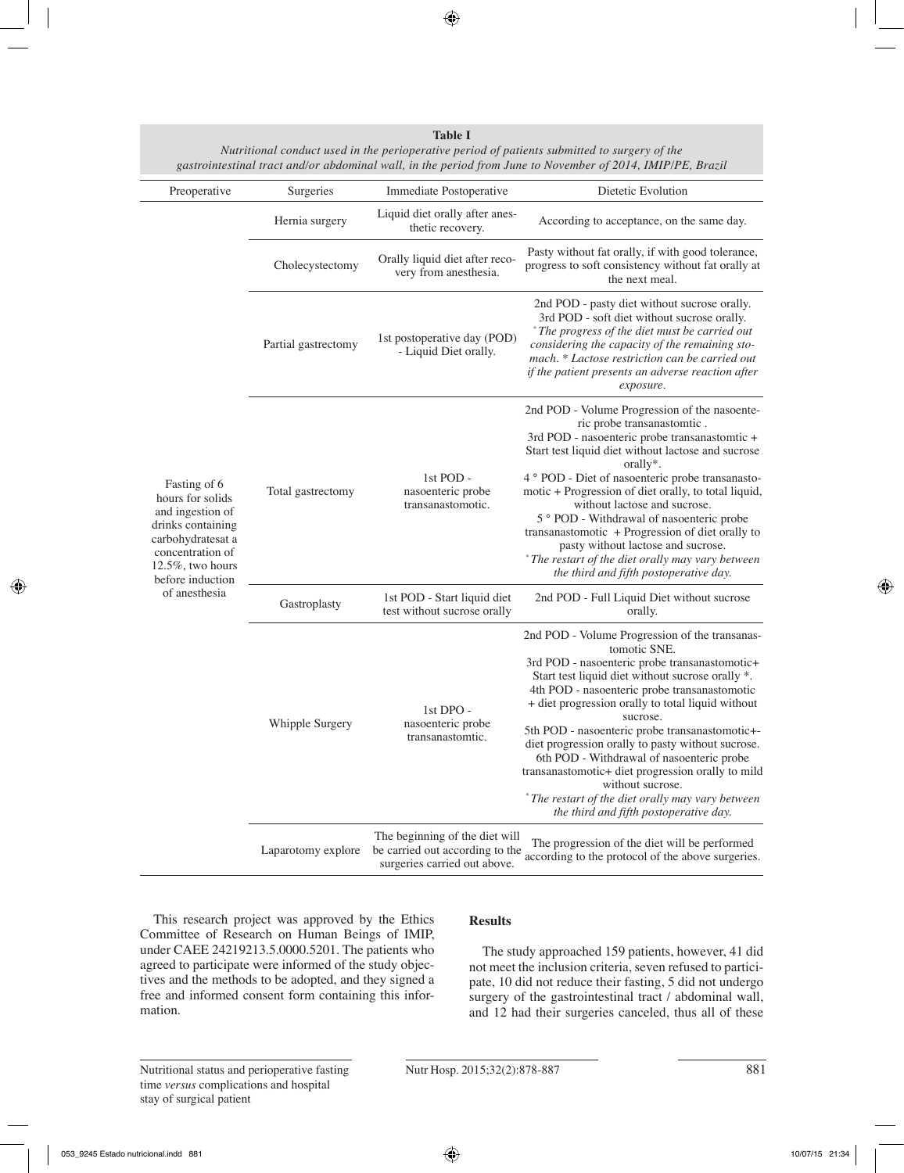| Preoperative                                                                                                                                                                    | Surgeries           | Immediate Postoperative                                                                           | Dietetic Evolution                                                                                                                                                                                                                                                                                                                                                                                                                                                                                                                                                                                               |  |
|---------------------------------------------------------------------------------------------------------------------------------------------------------------------------------|---------------------|---------------------------------------------------------------------------------------------------|------------------------------------------------------------------------------------------------------------------------------------------------------------------------------------------------------------------------------------------------------------------------------------------------------------------------------------------------------------------------------------------------------------------------------------------------------------------------------------------------------------------------------------------------------------------------------------------------------------------|--|
| Fasting of 6<br>hours for solids<br>and ingestion of<br>drinks containing<br>carbohydratesat a<br>concentration of<br>$12.5\%$ , two hours<br>before induction<br>of anesthesia | Hernia surgery      | Liquid diet orally after anes-<br>thetic recovery.                                                | According to acceptance, on the same day.                                                                                                                                                                                                                                                                                                                                                                                                                                                                                                                                                                        |  |
|                                                                                                                                                                                 | Cholecystectomy     | Orally liquid diet after reco-<br>very from anesthesia.                                           | Pasty without fat orally, if with good tolerance,<br>progress to soft consistency without fat orally at<br>the next meal.                                                                                                                                                                                                                                                                                                                                                                                                                                                                                        |  |
|                                                                                                                                                                                 | Partial gastrectomy | 1st postoperative day (POD)<br>- Liquid Diet orally.                                              | 2nd POD - pasty diet without sucrose orally.<br>3rd POD - soft diet without sucrose orally.<br>The progress of the diet must be carried out<br>considering the capacity of the remaining sto-<br>mach. * Lactose restriction can be carried out<br>if the patient presents an adverse reaction after<br>exposure.                                                                                                                                                                                                                                                                                                |  |
|                                                                                                                                                                                 | Total gastrectomy   | 1st POD -<br>nasoenteric probe<br>transanastomotic.                                               | 2nd POD - Volume Progression of the nasoente-<br>ric probe transanastomtic.<br>3rd POD - nasoenteric probe transanastomtic +<br>Start test liquid diet without lactose and sucrose<br>orally*.<br>4 ° POD - Diet of nasoenteric probe transanasto-<br>motic + Progression of diet orally, to total liquid,<br>without lactose and sucrose.<br>5 ° POD - Withdrawal of nasoenteric probe<br>transanastomotic + Progression of diet orally to<br>pasty without lactose and sucrose.<br>* The restart of the diet orally may vary between<br>the third and fifth postoperative day.                                 |  |
|                                                                                                                                                                                 | Gastroplasty        | 1st POD - Start liquid diet<br>test without sucrose orally                                        | 2nd POD - Full Liquid Diet without sucrose<br>orally.                                                                                                                                                                                                                                                                                                                                                                                                                                                                                                                                                            |  |
|                                                                                                                                                                                 | Whipple Surgery     | 1st DPO -<br>nasoenteric probe<br>transanastomtic.                                                | 2nd POD - Volume Progression of the transanas-<br>tomotic SNE.<br>3rd POD - nasoenteric probe transanastomotic+<br>Start test liquid diet without sucrose orally *.<br>4th POD - nasoenteric probe transanastomotic<br>+ diet progression orally to total liquid without<br>sucrose.<br>5th POD - nasoenteric probe transanastomotic+-<br>diet progression orally to pasty without sucrose.<br>6th POD - Withdrawal of nasoenteric probe<br>transanastomotic+ diet progression orally to mild<br>without sucrose.<br>* The restart of the diet orally may vary between<br>the third and fifth postoperative day. |  |
|                                                                                                                                                                                 | Laparotomy explore  | The beginning of the diet will<br>be carried out according to the<br>surgeries carried out above. | The progression of the diet will be performed<br>according to the protocol of the above surgeries.                                                                                                                                                                                                                                                                                                                                                                                                                                                                                                               |  |

**Table I** *Nutritional conduct used in the perioperative period of patients submitted to surgery of the gastrointestinal tract and/or abdominal wall, in the period from June to November of 2014, IMIP/PE, Brazil*

This research project was approved by the Ethics Committee of Research on Human Beings of IMIP, under CAEE 24219213.5.0000.5201. The patients who agreed to participate were informed of the study objectives and the methods to be adopted, and they signed a free and informed consent form containing this information.

# **Results**

The study approached 159 patients, however, 41 did not meet the inclusion criteria, seven refused to participate, 10 did not reduce their fasting, 5 did not undergo surgery of the gastrointestinal tract / abdominal wall, and 12 had their surgeries canceled, thus all of these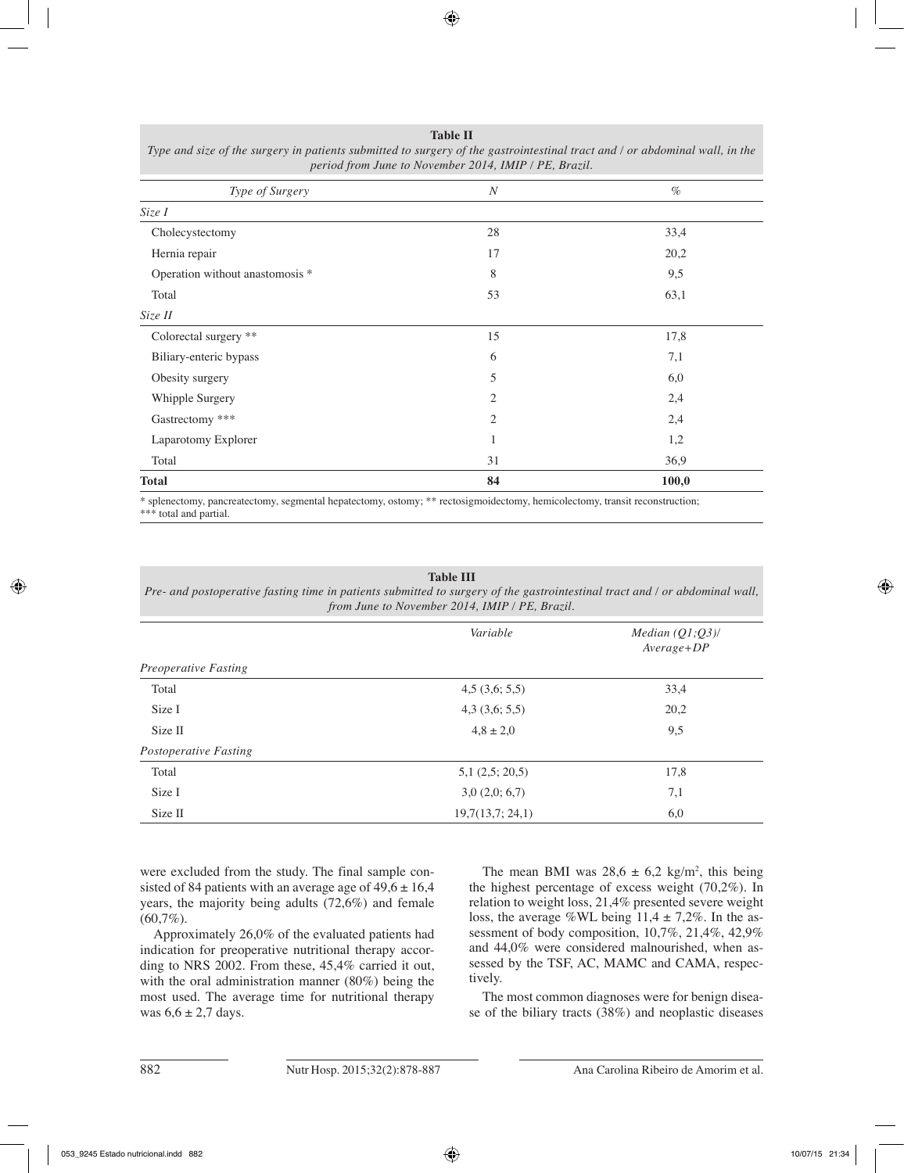| Type of Surgery                 | $\boldsymbol{N}$ | $\%$  |
|---------------------------------|------------------|-------|
| Size I                          |                  |       |
| Cholecystectomy                 | 28               | 33,4  |
| Hernia repair                   | 17               | 20,2  |
| Operation without anastomosis * | 8                | 9,5   |
| Total                           | 53               | 63,1  |
| Size II                         |                  |       |
| Colorectal surgery **           | 15               | 17,8  |
| Biliary-enteric bypass          | 6                | 7,1   |
| Obesity surgery                 | 5                | 6,0   |
| Whipple Surgery                 | 2                | 2,4   |
| Gastrectomy ***                 | 2                | 2,4   |
| Laparotomy Explorer             |                  | 1,2   |
| Total                           | 31               | 36,9  |
| <b>Total</b>                    | 84               | 100,0 |

**Table II** *Type and size of the surgery in patients submitted to surgery of the gastrointestinal tract and / or abdominal wall, in the* 

splenectomy, pancreatectomy, segmental hepatectomy, ostomy; \*\* rectosigmoidectomy, hemicolectomy, transit reconstruction; \*\*\* total and partial.

#### **Table III**

*Pre- and postoperative fasting time in patients submitted to surgery of the gastrointestinal tract and / or abdominal wall, from June to November 2014, IMIP / PE, Brazil.*

|                       | Variable           | Median $(Q1;Q3)$ /<br>$Average + DP$ |  |
|-----------------------|--------------------|--------------------------------------|--|
| Preoperative Fasting  |                    |                                      |  |
| Total                 | 4,5(3,6;5,5)       | 33,4                                 |  |
| Size I                | $4,3$ $(3,6; 5,5)$ | 20,2                                 |  |
| Size II               | $4,8 \pm 2,0$      | 9,5                                  |  |
| Postoperative Fasting |                    |                                      |  |
| Total                 | 5,1(2,5; 20,5)     | 17,8                                 |  |
| Size I                | 3,0(2,0;6,7)       | 7,1                                  |  |
| Size II               | 19,7(13,7; 24,1)   | 6,0                                  |  |

were excluded from the study. The final sample consisted of 84 patients with an average age of  $49,6 \pm 16,4$ years, the majority being adults (72,6%) and female  $(60,7\%)$ .

Approximately 26,0% of the evaluated patients had indication for preoperative nutritional therapy according to NRS 2002. From these, 45,4% carried it out, with the oral administration manner (80%) being the most used. The average time for nutritional therapy was  $6.6 \pm 2.7$  days.

The mean BMI was  $28.6 \pm 6.2$  kg/m<sup>2</sup>, this being the highest percentage of excess weight (70,2%). In relation to weight loss, 21,4% presented severe weight loss, the average %WL being  $11,4 \pm 7,2\%$ . In the assessment of body composition, 10,7%, 21,4%, 42,9% and 44,0% were considered malnourished, when assessed by the TSF, AC, MAMC and CAMA, respectively.

The most common diagnoses were for benign disease of the biliary tracts (38%) and neoplastic diseases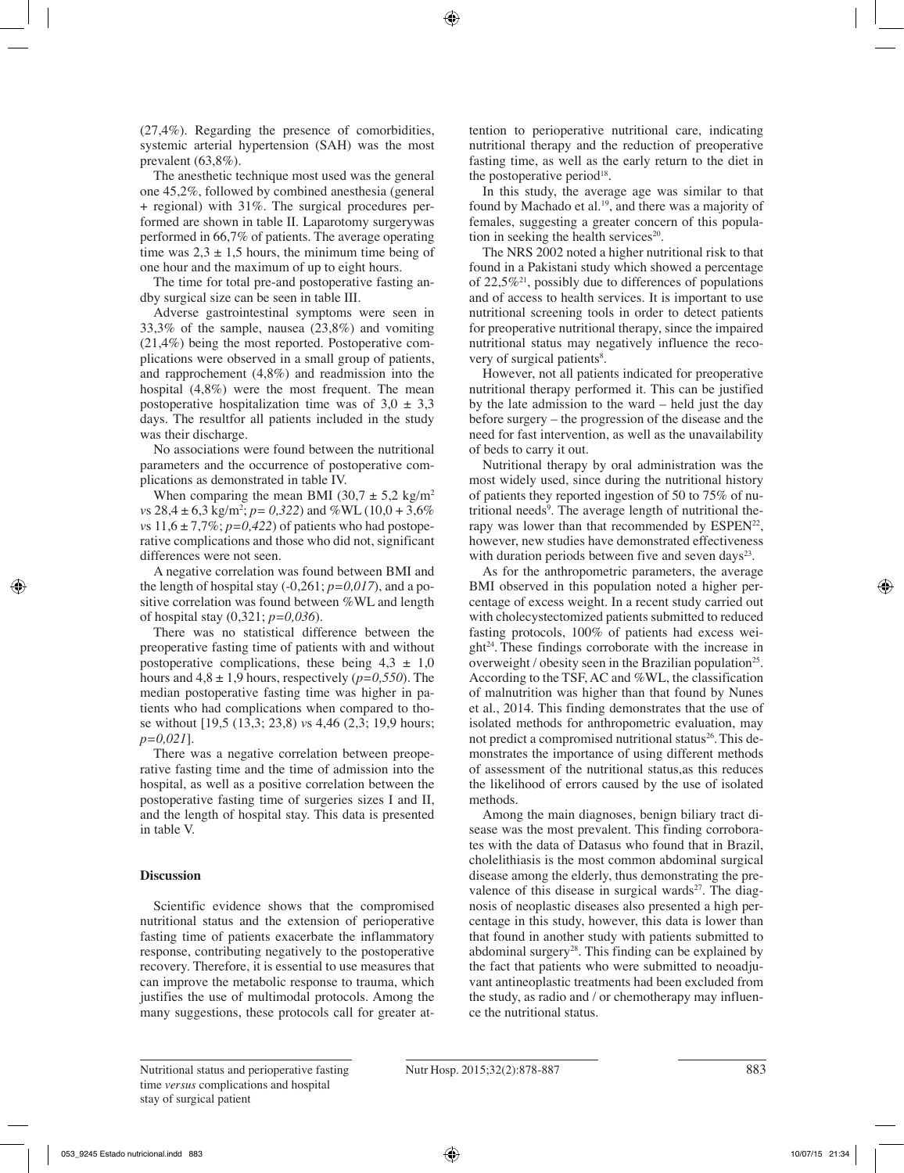(27,4%). Regarding the presence of comorbidities, systemic arterial hypertension (SAH) was the most prevalent (63,8%).

The anesthetic technique most used was the general one 45,2%, followed by combined anesthesia (general + regional) with 31%. The surgical procedures performed are shown in table II. Laparotomy surgerywas performed in 66,7% of patients. The average operating time was  $2,3 \pm 1,5$  hours, the minimum time being of one hour and the maximum of up to eight hours.

The time for total pre-and postoperative fasting andby surgical size can be seen in table III.

Adverse gastrointestinal symptoms were seen in 33,3% of the sample, nausea (23,8%) and vomiting (21,4%) being the most reported. Postoperative complications were observed in a small group of patients, and rapprochement (4,8%) and readmission into the hospital (4,8%) were the most frequent. The mean postoperative hospitalization time was of  $3.0 \pm 3.3$ days. The resultfor all patients included in the study was their discharge.

No associations were found between the nutritional parameters and the occurrence of postoperative complications as demonstrated in table IV.

When comparing the mean BMI (30,7  $\pm$  5,2 kg/m<sup>2</sup>) *vs*  $28,4 \pm 6,3$  kg/m<sup>2</sup>;  $p= 0,322$ ) and %WL (10,0 + 3,6%) *vs*  $11,6 \pm 7,7\%$ ;  $p=0,422$ ) of patients who had postoperative complications and those who did not, significant differences were not seen.

A negative correlation was found between BMI and the length of hospital stay  $(-0.261; p=0.017)$ , and a positive correlation was found between %WL and length of hospital stay (0,321; *p=0,036*).

There was no statistical difference between the preoperative fasting time of patients with and without postoperative complications, these being  $4.3 \pm 1.0$ hours and 4,8 ± 1,9 hours, respectively (*p=0,550*). The median postoperative fasting time was higher in patients who had complications when compared to those without [19,5 (13,3; 23,8) *v*s 4,46 (2,3; 19,9 hours; *p=0,021*].

There was a negative correlation between preoperative fasting time and the time of admission into the hospital, as well as a positive correlation between the postoperative fasting time of surgeries sizes I and II, and the length of hospital stay. This data is presented in table V.

# **Discussion**

Scientific evidence shows that the compromised nutritional status and the extension of perioperative fasting time of patients exacerbate the inflammatory response, contributing negatively to the postoperative recovery. Therefore, it is essential to use measures that can improve the metabolic response to trauma, which justifies the use of multimodal protocols. Among the many suggestions, these protocols call for greater attention to perioperative nutritional care, indicating nutritional therapy and the reduction of preoperative fasting time, as well as the early return to the diet in the postoperative period $18$ .

In this study, the average age was similar to that found by Machado et al.<sup>19</sup>, and there was a majority of females, suggesting a greater concern of this population in seeking the health services $20$ .

The NRS 2002 noted a higher nutritional risk to that found in a Pakistani study which showed a percentage of 22,5%<sup>21</sup>, possibly due to differences of populations and of access to health services. It is important to use nutritional screening tools in order to detect patients for preoperative nutritional therapy, since the impaired nutritional status may negatively influence the recovery of surgical patients<sup>8</sup>.

However, not all patients indicated for preoperative nutritional therapy performed it. This can be justified by the late admission to the ward – held just the day before surgery – the progression of the disease and the need for fast intervention, as well as the unavailability of beds to carry it out.

Nutritional therapy by oral administration was the most widely used, since during the nutritional history of patients they reported ingestion of 50 to 75% of nutritional needs<sup>9</sup>. The average length of nutritional therapy was lower than that recommended by  $ESPEN^{22}$ , however, new studies have demonstrated effectiveness with duration periods between five and seven days<sup>23</sup>.

As for the anthropometric parameters, the average BMI observed in this population noted a higher percentage of excess weight. In a recent study carried out with cholecystectomized patients submitted to reduced fasting protocols, 100% of patients had excess wei $g$ ht<sup>24</sup>. These findings corroborate with the increase in overweight / obesity seen in the Brazilian population<sup>25</sup>. According to the TSF, AC and %WL, the classification of malnutrition was higher than that found by Nunes et al., 2014. This finding demonstrates that the use of isolated methods for anthropometric evaluation, may not predict a compromised nutritional status<sup>26</sup>. This demonstrates the importance of using different methods of assessment of the nutritional status,as this reduces the likelihood of errors caused by the use of isolated methods.

Among the main diagnoses, benign biliary tract disease was the most prevalent. This finding corroborates with the data of Datasus who found that in Brazil, cholelithiasis is the most common abdominal surgical disease among the elderly, thus demonstrating the prevalence of this disease in surgical wards $27$ . The diagnosis of neoplastic diseases also presented a high percentage in this study, however, this data is lower than that found in another study with patients submitted to abdominal surgery<sup>28</sup>. This finding can be explained by the fact that patients who were submitted to neoadjuvant antineoplastic treatments had been excluded from the study, as radio and / or chemotherapy may influence the nutritional status.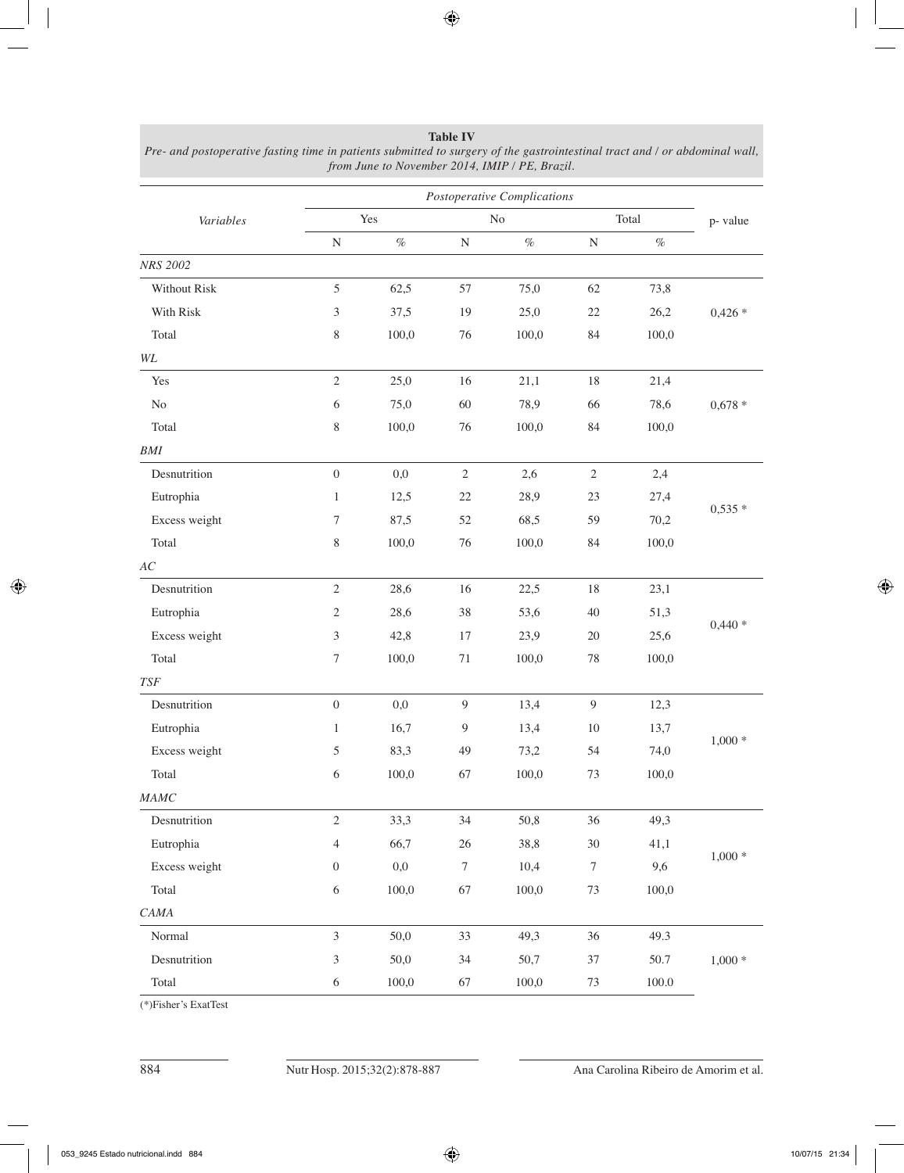|               |                             |       |                  | Postoperative Complications |                  |       |          |
|---------------|-----------------------------|-------|------------------|-----------------------------|------------------|-------|----------|
| Variables     |                             | Yes   |                  | No                          |                  | Total | p-value  |
|               | ${\bf N}$                   | $\%$  | ${\bf N}$        | $\%$                        | ${\bf N}$        | $\%$  |          |
| NRS 2002      |                             |       |                  |                             |                  |       |          |
| Without Risk  | 5                           | 62,5  | 57               | 75,0                        | 62               | 73,8  |          |
| With Risk     | $\mathfrak{Z}$              | 37,5  | 19               | 25,0                        | $22\,$           | 26,2  | $0,426*$ |
| Total         | $8\,$                       | 100,0 | 76               | 100,0                       | 84               | 100,0 |          |
| $\it WL$      |                             |       |                  |                             |                  |       |          |
| Yes           | $\sqrt{2}$                  | 25,0  | 16               | 21,1                        | 18               | 21,4  |          |
| $\rm No$      | $\sqrt{6}$                  | 75,0  | 60               | 78,9                        | 66               | 78,6  | $0,678*$ |
| Total         | $\,$ 8 $\,$                 | 100,0 | 76               | 100,0                       | 84               | 100,0 |          |
| $\it{BMI}$    |                             |       |                  |                             |                  |       |          |
| Desnutrition  | $\boldsymbol{0}$            | 0,0   | $\sqrt{2}$       | 2,6                         | $\sqrt{2}$       | 2,4   |          |
| Eutrophia     | $\mathbf{1}$                | 12,5  | 22               | 28,9                        | 23               | 27,4  |          |
| Excess weight | 7                           | 87,5  | 52               | 68,5                        | 59               | 70,2  | $0,535*$ |
| Total         | 8                           | 100,0 | 76               | 100,0                       | 84               | 100,0 |          |
| $\cal AC$     |                             |       |                  |                             |                  |       |          |
| Desnutrition  | $\overline{2}$              | 28,6  | 16               | 22,5                        | 18               | 23,1  |          |
| Eutrophia     | $\mathfrak{2}$              | 28,6  | 38               | 53,6                        | 40               | 51,3  |          |
| Excess weight | $\mathfrak{Z}$              | 42,8  | 17               | 23,9                        | $20\,$           | 25,6  | $0,440*$ |
| Total         | 7                           | 100,0 | 71               | 100,0                       | $78\,$           | 100,0 |          |
| <b>TSF</b>    |                             |       |                  |                             |                  |       |          |
| Desnutrition  | $\boldsymbol{0}$            | 0,0   | 9                | 13,4                        | $\overline{9}$   | 12,3  |          |
| Eutrophia     | $\mathbf{1}$                | 16,7  | $\overline{9}$   | 13,4                        | $10\,$           | 13,7  |          |
| Excess weight | 5                           | 83,3  | 49               | 73,2                        | 54               | 74,0  | $1,000*$ |
| Total         | $\sqrt{6}$                  | 100,0 | 67               | 100,0                       | 73               | 100,0 |          |
| <b>MAMC</b>   |                             |       |                  |                             |                  |       |          |
| Desnutrition  | $\sqrt{2}$                  | 33,3  | 34               | 50,8                        | 36               | 49,3  | $1,000*$ |
| Eutrophia     | 4                           | 66,7  | 26               | 38,8                        | $30\,$           | 41,1  |          |
| Excess weight | $\boldsymbol{0}$            | 0,0   | $\boldsymbol{7}$ | 10,4                        | $\boldsymbol{7}$ | 9,6   |          |
| Total         | $\sqrt{6}$                  | 100,0 | 67               | 100,0                       | $73\,$           | 100,0 |          |
| CAMA          |                             |       |                  |                             |                  |       |          |
| Normal        | $\overline{3}$              | 50,0  | 33               | 49,3                        | 36               | 49.3  | $1,000*$ |
| Desnutrition  | $\ensuremath{\mathfrak{Z}}$ | 50,0  | 34               | 50,7                        | 37               | 50.7  |          |
| Total         | $\sqrt{6}$                  | 100,0 | 67               | 100,0                       | 73               | 100.0 |          |

**Table IV** *Pre- and postoperative fasting time in patients submitted to surgery of the gastrointestinal tract and / or abdominal wall, from June to November 2014, IMIP / PE, Brazil.*

(\*)Fisher's ExatTest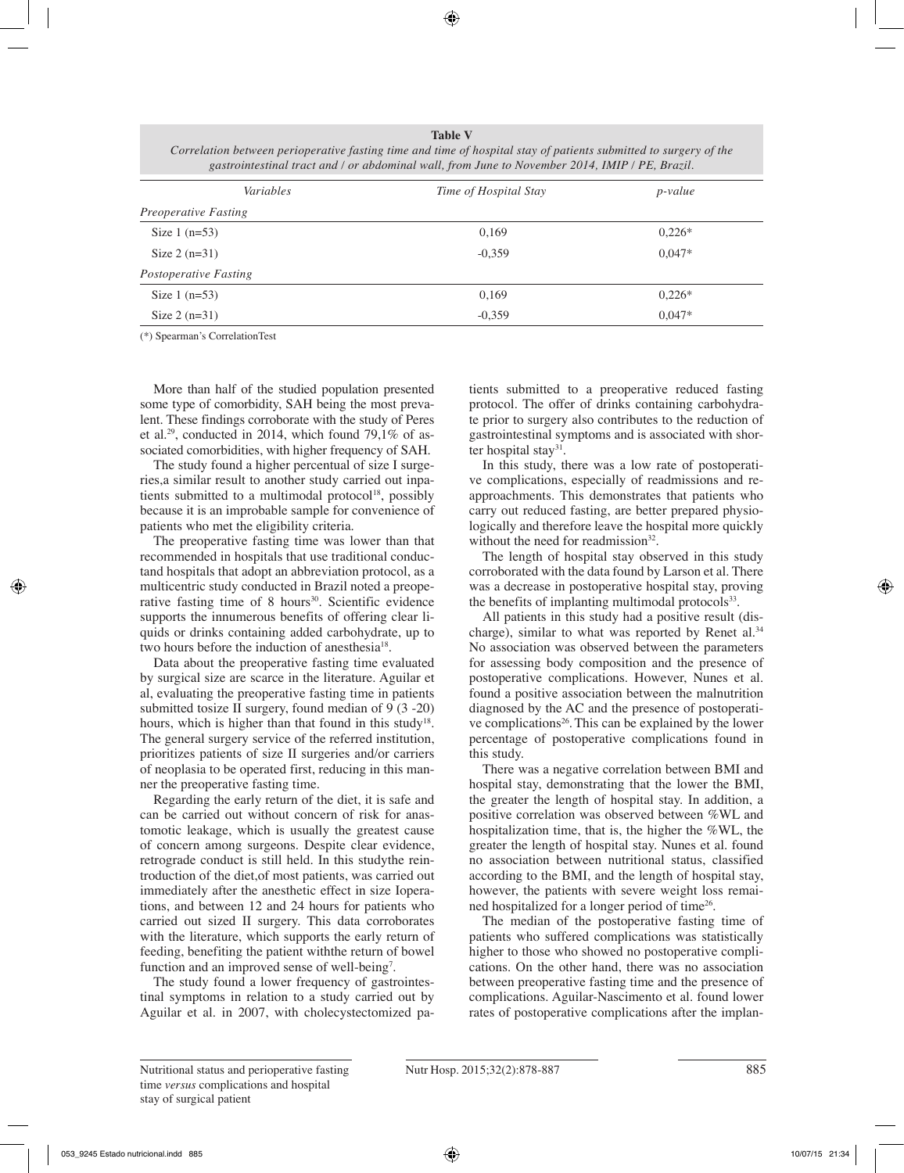| Variables                   | Time of Hospital Stay | $p$ -value |  |
|-----------------------------|-----------------------|------------|--|
| <i>Preoperative Fasting</i> |                       |            |  |
| Size $1(n=53)$              | 0,169                 | $0,226*$   |  |
| Size $2(n=31)$              | $-0,359$              | $0.047*$   |  |
| Postoperative Fasting       |                       |            |  |
| Size $1(n=53)$              | 0,169                 | $0,226*$   |  |
| Size $2(n=31)$              | $-0,359$              | $0.047*$   |  |

**Table V** *Correlation between perioperative fasting time and time of hospital stay of patients submitted to surgery of the gastrointestinal tract and / or abdominal wall, from June to November 2014, IMIP / PE, Brazil.*

(\*) Spearman's CorrelationTest

More than half of the studied population presented some type of comorbidity, SAH being the most prevalent. These findings corroborate with the study of Peres et al.<sup>29</sup>, conducted in 2014, which found 79,1% of associated comorbidities, with higher frequency of SAH.

The study found a higher percentual of size I surgeries,a similar result to another study carried out inpatients submitted to a multimodal protocol<sup>18</sup>, possibly because it is an improbable sample for convenience of patients who met the eligibility criteria.

The preoperative fasting time was lower than that recommended in hospitals that use traditional conductand hospitals that adopt an abbreviation protocol, as a multicentric study conducted in Brazil noted a preoperative fasting time of 8 hours<sup>30</sup>. Scientific evidence supports the innumerous benefits of offering clear liquids or drinks containing added carbohydrate, up to two hours before the induction of anesthesia<sup>18</sup>.

Data about the preoperative fasting time evaluated by surgical size are scarce in the literature. Aguilar et al, evaluating the preoperative fasting time in patients submitted tosize II surgery, found median of 9 (3 -20) hours, which is higher than that found in this study<sup>18</sup>. The general surgery service of the referred institution, prioritizes patients of size II surgeries and/or carriers of neoplasia to be operated first, reducing in this manner the preoperative fasting time.

Regarding the early return of the diet, it is safe and can be carried out without concern of risk for anastomotic leakage, which is usually the greatest cause of concern among surgeons. Despite clear evidence, retrograde conduct is still held. In this studythe reintroduction of the diet,of most patients, was carried out immediately after the anesthetic effect in size Ioperations, and between 12 and 24 hours for patients who carried out sized II surgery. This data corroborates with the literature, which supports the early return of feeding, benefiting the patient withthe return of bowel function and an improved sense of well-being<sup>7</sup>.

The study found a lower frequency of gastrointestinal symptoms in relation to a study carried out by Aguilar et al. in 2007, with cholecystectomized patients submitted to a preoperative reduced fasting protocol. The offer of drinks containing carbohydrate prior to surgery also contributes to the reduction of gastrointestinal symptoms and is associated with shorter hospital stay<sup>31</sup>.

In this study, there was a low rate of postoperative complications, especially of readmissions and reapproachments. This demonstrates that patients who carry out reduced fasting, are better prepared physiologically and therefore leave the hospital more quickly without the need for readmission $32$ .

The length of hospital stay observed in this study corroborated with the data found by Larson et al. There was a decrease in postoperative hospital stay, proving the benefits of implanting multimodal protocols $33$ .

All patients in this study had a positive result (discharge), similar to what was reported by Renet al.<sup>34</sup> No association was observed between the parameters for assessing body composition and the presence of postoperative complications. However, Nunes et al. found a positive association between the malnutrition diagnosed by the AC and the presence of postoperative complications<sup>26</sup>. This can be explained by the lower percentage of postoperative complications found in this study.

There was a negative correlation between BMI and hospital stay, demonstrating that the lower the BMI, the greater the length of hospital stay. In addition, a positive correlation was observed between %WL and hospitalization time, that is, the higher the %WL, the greater the length of hospital stay. Nunes et al. found no association between nutritional status, classified according to the BMI, and the length of hospital stay, however, the patients with severe weight loss remained hospitalized for a longer period of time26.

The median of the postoperative fasting time of patients who suffered complications was statistically higher to those who showed no postoperative complications. On the other hand, there was no association between preoperative fasting time and the presence of complications. Aguilar-Nascimento et al. found lower rates of postoperative complications after the implan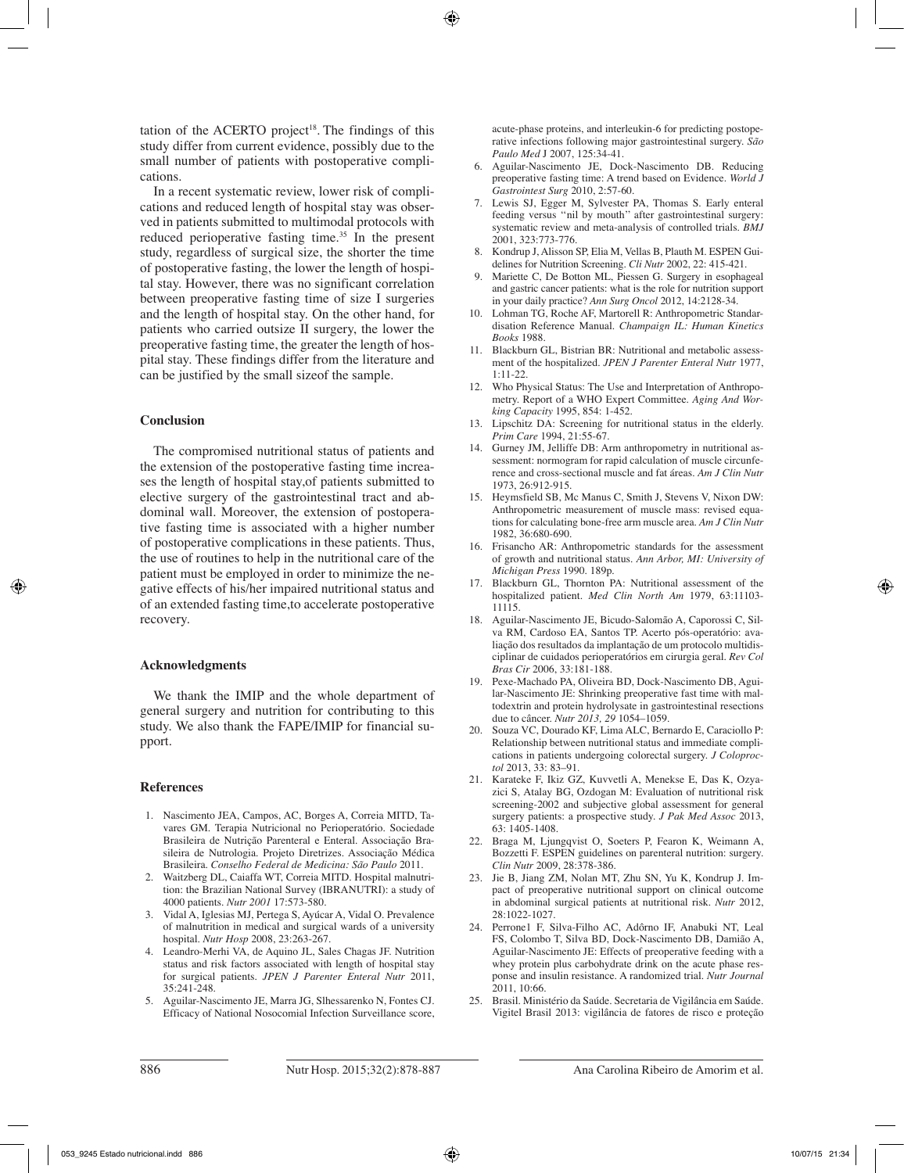tation of the ACERTO project<sup>18</sup>. The findings of this study differ from current evidence, possibly due to the small number of patients with postoperative complications.

In a recent systematic review, lower risk of complications and reduced length of hospital stay was observed in patients submitted to multimodal protocols with reduced perioperative fasting time.<sup>35</sup> In the present study, regardless of surgical size, the shorter the time of postoperative fasting, the lower the length of hospital stay. However, there was no significant correlation between preoperative fasting time of size I surgeries and the length of hospital stay. On the other hand, for patients who carried outsize II surgery, the lower the preoperative fasting time, the greater the length of hospital stay. These findings differ from the literature and can be justified by the small sizeof the sample.

#### **Conclusion**

The compromised nutritional status of patients and the extension of the postoperative fasting time increases the length of hospital stay,of patients submitted to elective surgery of the gastrointestinal tract and abdominal wall. Moreover, the extension of postoperative fasting time is associated with a higher number of postoperative complications in these patients. Thus, the use of routines to help in the nutritional care of the patient must be employed in order to minimize the negative effects of his/her impaired nutritional status and of an extended fasting time,to accelerate postoperative recovery.

#### **Acknowledgments**

We thank the IMIP and the whole department of general surgery and nutrition for contributing to this study. We also thank the FAPE/IMIP for financial support.

#### **References**

- 1. Nascimento JEA, Campos, AC, Borges A, Correia MITD, Tavares GM. Terapia Nutricional no Perioperatório. Sociedade Brasileira de Nutrição Parenteral e Enteral. Associação Brasileira de Nutrologia. Projeto Diretrizes. Associação Médica Brasileira. *Conselho Federal de Medicina: São Paulo* 2011.
- 2. Waitzberg DL, Caiaffa WT, Correia MITD. Hospital malnutrition: the Brazilian National Survey (IBRANUTRI): a study of 4000 patients. *Nutr 2001* 17:573-580.
- 3. Vidal A, Iglesias MJ, Pertega S, Ayúcar A, Vidal O. Prevalence of malnutrition in medical and surgical wards of a university hospital. *Nutr Hosp* 2008, 23:263-267.
- 4. Leandro-Merhi VA, de Aquino JL, Sales Chagas JF. Nutrition status and risk factors associated with length of hospital stay for surgical patients. *JPEN J Parenter Enteral Nutr* 2011, 35:241-248.
- 5. Aguilar-Nascimento JE, Marra JG, Slhessarenko N, Fontes CJ. Efficacy of National Nosocomial Infection Surveillance score,

acute-phase proteins, and interleukin-6 for predicting postoperative infections following major gastrointestinal surgery. *São Paulo Med* J 2007, 125:34-41.

- 6. Aguilar-Nascimento JE, Dock-Nascimento DB. Reducing preoperative fasting time: A trend based on Evidence. *World J Gastrointest Surg* 2010, 2:57-60.
- 7. Lewis SJ, Egger M, Sylvester PA, Thomas S. Early enteral feeding versus ''nil by mouth'' after gastrointestinal surgery: systematic review and meta-analysis of controlled trials. *BMJ* 2001, 323:773-776.
- 8. Kondrup J, Alisson SP, Elia M, Vellas B, Plauth M. ESPEN Guidelines for Nutrition Screening. *Cli Nutr* 2002, 22: 415-421.
- 9. Mariette C, De Botton ML, Piessen G. Surgery in esophageal and gastric cancer patients: what is the role for nutrition support in your daily practice? *Ann Surg Oncol* 2012, 14:2128-34.
- 10. Lohman TG, Roche AF, Martorell R: Anthropometric Standardisation Reference Manual. *Champaign IL: Human Kinetics Books* 1988.
- 11. Blackburn GL, Bistrian BR: Nutritional and metabolic assessment of the hospitalized. *JPEN J Parenter Enteral Nutr* 1977, 1:11-22.
- 12. Who Physical Status: The Use and Interpretation of Anthropometry. Report of a WHO Expert Committee. *Aging And Working Capacity* 1995, 854: 1-452.
- 13. Lipschitz DA: Screening for nutritional status in the elderly. *Prim Care* 1994, 21:55-67.
- 14. Gurney JM, Jelliffe DB: Arm anthropometry in nutritional assessment: normogram for rapid calculation of muscle circunference and cross-sectional muscle and fat áreas. *Am J Clin Nutr* 1973, 26:912-915.
- 15. Heymsfield SB, Mc Manus C, Smith J, Stevens V, Nixon DW: Anthropometric measurement of muscle mass: revised equations for calculating bone-free arm muscle area. *Am J Clin Nutr* 1982, 36:680-690.
- 16. Frisancho AR: Anthropometric standards for the assessment of growth and nutritional status. *Ann Arbor, MI: University of Michigan Press* 1990. 189p.
- 17. Blackburn GL, Thornton PA: Nutritional assessment of the hospitalized patient. *Med Clin North Am* 1979, 63:11103- 11115.
- 18. Aguilar-Nascimento JE, Bicudo-Salomão A, Caporossi C, Silva RM, Cardoso EA, Santos TP. Acerto pós-operatório: avaliação dos resultados da implantação de um protocolo multidisciplinar de cuidados perioperatórios em cirurgia geral. *Rev Col Bras Cir* 2006, 33:181-188.
- 19. Pexe-Machado PA, Oliveira BD, Dock-Nascimento DB, Aguilar-Nascimento JE: Shrinking preoperative fast time with maltodextrin and protein hydrolysate in gastrointestinal resections due to câncer. *Nutr 2013, 29* 1054–1059.
- 20. Souza VC, Dourado KF, Lima ALC, Bernardo E, Caraciollo P: Relationship between nutritional status and immediate complications in patients undergoing colorectal surgery. *J Coloproctol* 2013, 33: 83–91.
- 21. Karateke F, Ikiz GZ, Kuvvetli A, Menekse E, Das K, Ozyazici S, Atalay BG, Ozdogan M: Evaluation of nutritional risk screening-2002 and subjective global assessment for general surgery patients: a prospective study. *J Pak Med Assoc* 2013, 63: 1405-1408.
- 22. Braga M, Ljungqvist O, Soeters P, Fearon K, Weimann A, Bozzetti F. ESPEN guidelines on parenteral nutrition: surgery. *Clin Nutr* 2009, 28:378-386.
- 23. Jie B, Jiang ZM, Nolan MT, Zhu SN, Yu K, Kondrup J. Impact of preoperative nutritional support on clinical outcome in abdominal surgical patients at nutritional risk. *Nutr* 2012, 28:1022-1027.
- 24. Perrone1 F, Silva-Filho AC, Adôrno IF, Anabuki NT, Leal FS, Colombo T, Silva BD, Dock-Nascimento DB, Damião A, Aguilar-Nascimento JE: Effects of preoperative feeding with a whey protein plus carbohydrate drink on the acute phase response and insulin resistance. A randomized trial. *Nutr Journal* 2011, 10:66.
- 25. Brasil. Ministério da Saúde. Secretaria de Vigilância em Saúde. Vigitel Brasil 2013: vigilância de fatores de risco e proteção